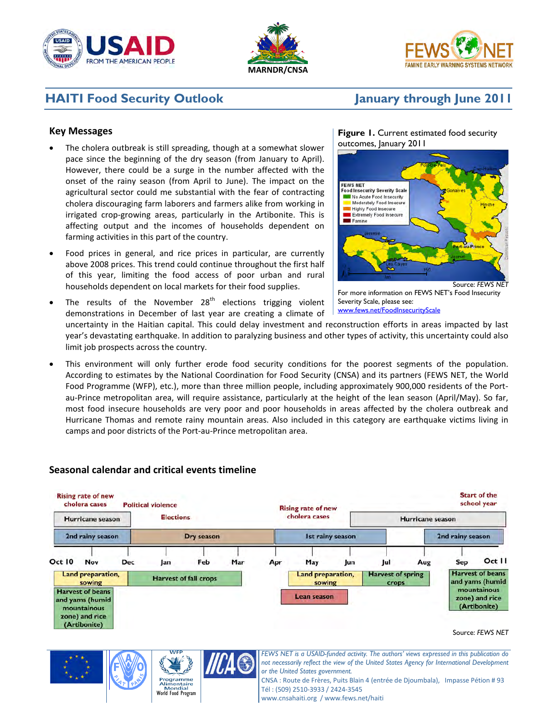





# **HAITI Food Security Outlook January through June 2011**

## **Key Messages**

- The cholera outbreak is still spreading, though at a somewhat slower pace since the beginning of the dry season (from January to April). However, there could be a surge in the number affected with the onset of the rainy season (from April to June). The impact on the agricultural sector could me substantial with the fear of contracting cholera discouraging farm laborers and farmers alike from working in irrigated crop-growing areas, particularly in the Artibonite. This is affecting output and the incomes of households dependent on farming activities in this part of the country.
- Food prices in general, and rice prices in particular, are currently above 2008 prices. This trend could continue throughout the first half of this year, limiting the food access of poor urban and rural households dependent on local markets for their food supplies.
- The results of the November  $28<sup>th</sup>$  elections trigging violent demonstrations in December of last year are creating a climate of

#### **Figure 1.** Current estimated food security outcomes, January 2011



For more information on FEWS NET's Food Insecurity Severity Scale, please see: [www.fews.net/FoodInsecurityScale](http://www.fews.net/FoodInsecurityScale)

uncertainty in the Haitian capital. This could delay investment and reconstruction efforts in areas impacted by last year's devastating earthquake. In addition to paralyzing business and other types of activity, this uncertainty could also limit job prospects across the country.

This environment will only further erode food security conditions for the poorest segments of the population. According to estimates by the National Coordination for Food Security (CNSA) and its partners (FEWS NET, the World Food Programme (WFP), etc.), more than three million people, including approximately 900,000 residents of the Portau-Prince metropolitan area, will require assistance, particularly at the height of the lean season (April/May). So far, most food insecure households are very poor and poor households in areas affected by the cholera outbreak and Hurricane Thomas and remote rainy mountain areas. Also included in this category are earthquake victims living in camps and poor districts of the Port-au-Prince metropolitan area.



# **Seasonal calendar and critical events timeline**





*not necessarily reflect the view of the United States Agency for International Development or the United States government.*

CNSA : Route de Frères, Puits Blain 4 (entrée de Djoumbala), Impasse Pétion # 93 Tél : (509) 2510-3933 / 2424-3545

www.cnsahaiti.org / www.fews.net/haiti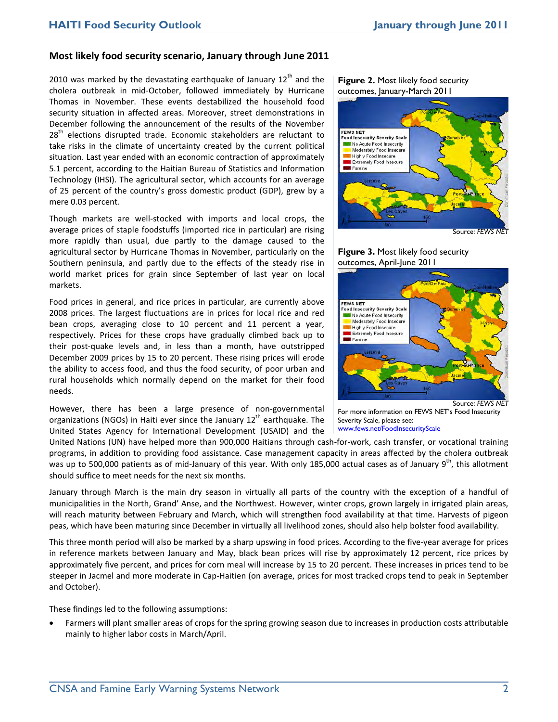### **Most likely food security scenario, January through June 2011**

2010 was marked by the devastating earthquake of January  $12<sup>th</sup>$  and the cholera outbreak in mid-October, followed immediately by Hurricane Thomas in November. These events destabilized the household food security situation in affected areas. Moreover, street demonstrations in December following the announcement of the results of the November  $28<sup>th</sup>$  elections disrupted trade. Economic stakeholders are reluctant to take risks in the climate of uncertainty created by the current political situation. Last year ended with an economic contraction of approximately 5.1 percent, according to the Haitian Bureau of Statistics and Information Technology (IHSI). The agricultural sector, which accounts for an average of 25 percent of the country's gross domestic product (GDP), grew by a mere 0.03 percent.

Though markets are well-stocked with imports and local crops, the average prices of staple foodstuffs (imported rice in particular) are rising more rapidly than usual, due partly to the damage caused to the agricultural sector by Hurricane Thomas in November, particularly on the Southern peninsula, and partly due to the effects of the steady rise in world market prices for grain since September of last year on local markets.

Food prices in general, and rice prices in particular, are currently above 2008 prices. The largest fluctuations are in prices for local rice and red bean crops, averaging close to 10 percent and 11 percent a year, respectively. Prices for these crops have gradually climbed back up to their post-quake levels and, in less than a month, have outstripped December 2009 prices by 15 to 20 percent. These rising prices will erode the ability to access food, and thus the food security, of poor urban and rural households which normally depend on the market for their food needs.

However, there has been a large presence of non-governmental organizations (NGOs) in Haiti ever since the January  $12<sup>th</sup>$  earthquake. The United States Agency for International Development (USAID) and the





#### **Figure 3.** Most likely food security outcomes, April-June 2011



For more information on FEWS NET's Food Insecurity Severity Scale, please see: [www.fews.net/FoodInsecurityScale](http://www.fews.net/FoodInsecurityScale)

United Nations (UN) have helped more than 900,000 Haitians through cash-for-work, cash transfer, or vocational training programs, in addition to providing food assistance. Case management capacity in areas affected by the cholera outbreak was up to 500,000 patients as of mid-January of this year. With only 185,000 actual cases as of January 9<sup>th</sup>, this allotment should suffice to meet needs for the next six months.

January through March is the main dry season in virtually all parts of the country with the exception of a handful of municipalities in the North, Grand' Anse, and the Northwest. However, winter crops, grown largely in irrigated plain areas, will reach maturity between February and March, which will strengthen food availability at that time. Harvests of pigeon peas, which have been maturing since December in virtually all livelihood zones, should also help bolster food availability.

This three month period will also be marked by a sharp upswing in food prices. According to the five-year average for prices in reference markets between January and May, black bean prices will rise by approximately 12 percent, rice prices by approximately five percent, and prices for corn meal will increase by 15 to 20 percent. These increases in prices tend to be steeper in Jacmel and more moderate in Cap-Haitien (on average, prices for most tracked crops tend to peak in September and October).

These findings led to the following assumptions:

• Farmers will plant smaller areas of crops for the spring growing season due to increases in production costs attributable mainly to higher labor costs in March/April.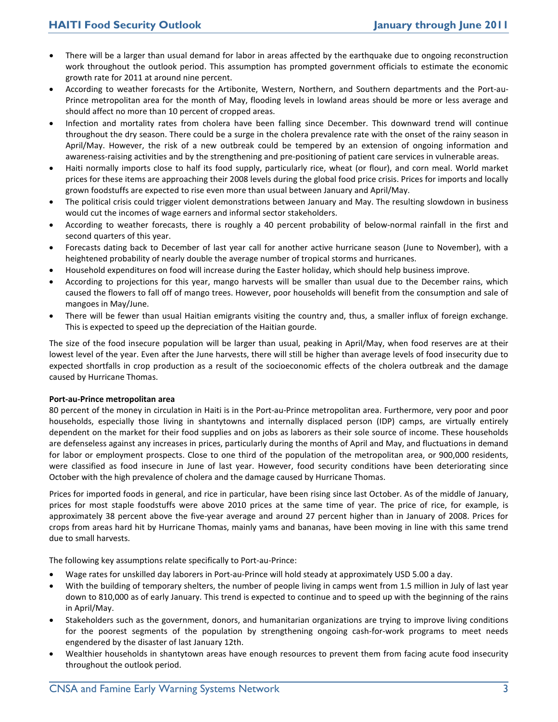- There will be a larger than usual demand for labor in areas affected by the earthquake due to ongoing reconstruction work throughout the outlook period. This assumption has prompted government officials to estimate the economic growth rate for 2011 at around nine percent.
- According to weather forecasts for the Artibonite, Western, Northern, and Southern departments and the Port-au-Prince metropolitan area for the month of May, flooding levels in lowland areas should be more or less average and should affect no more than 10 percent of cropped areas.
- Infection and mortality rates from cholera have been falling since December. This downward trend will continue throughout the dry season. There could be a surge in the cholera prevalence rate with the onset of the rainy season in April/May. However, the risk of a new outbreak could be tempered by an extension of ongoing information and awareness-raising activities and by the strengthening and pre-positioning of patient care services in vulnerable areas.
- Haiti normally imports close to half its food supply, particularly rice, wheat (or flour), and corn meal. World market prices for these items are approaching their 2008 levels during the global food price crisis. Prices for imports and locally grown foodstuffs are expected to rise even more than usual between January and April/May.
- The political crisis could trigger violent demonstrations between January and May. The resulting slowdown in business would cut the incomes of wage earners and informal sector stakeholders.
- According to weather forecasts, there is roughly a 40 percent probability of below-normal rainfall in the first and second quarters of this year.
- Forecasts dating back to December of last year call for another active hurricane season (June to November), with a heightened probability of nearly double the average number of tropical storms and hurricanes.
- Household expenditures on food will increase during the Easter holiday, which should help business improve.
- According to projections for this year, mango harvests will be smaller than usual due to the December rains, which caused the flowers to fall off of mango trees. However, poor households will benefit from the consumption and sale of mangoes in May/June.
- There will be fewer than usual Haitian emigrants visiting the country and, thus, a smaller influx of foreign exchange. This is expected to speed up the depreciation of the Haitian gourde.

The size of the food insecure population will be larger than usual, peaking in April/May, when food reserves are at their lowest level of the year. Even after the June harvests, there will still be higher than average levels of food insecurity due to expected shortfalls in crop production as a result of the socioeconomic effects of the cholera outbreak and the damage caused by Hurricane Thomas.

#### **Port-au-Prince metropolitan area**

80 percent of the money in circulation in Haiti is in the Port-au-Prince metropolitan area. Furthermore, very poor and poor households, especially those living in shantytowns and internally displaced person (IDP) camps, are virtually entirely dependent on the market for their food supplies and on jobs as laborers as their sole source of income. These households are defenseless against any increases in prices, particularly during the months of April and May, and fluctuations in demand for labor or employment prospects. Close to one third of the population of the metropolitan area, or 900,000 residents, were classified as food insecure in June of last year. However, food security conditions have been deteriorating since October with the high prevalence of cholera and the damage caused by Hurricane Thomas.

Prices for imported foods in general, and rice in particular, have been rising since last October. As of the middle of January, prices for most staple foodstuffs were above 2010 prices at the same time of year. The price of rice, for example, is approximately 38 percent above the five-year average and around 27 percent higher than in January of 2008. Prices for crops from areas hard hit by Hurricane Thomas, mainly yams and bananas, have been moving in line with this same trend due to small harvests.

The following key assumptions relate specifically to Port-au-Prince:

- Wage rates for unskilled day laborers in Port-au-Prince will hold steady at approximately USD 5.00 a day.
- With the building of temporary shelters, the number of people living in camps went from 1.5 million in July of last year down to 810,000 as of early January. This trend is expected to continue and to speed up with the beginning of the rains in April/May.
- Stakeholders such as the government, donors, and humanitarian organizations are trying to improve living conditions for the poorest segments of the population by strengthening ongoing cash-for-work programs to meet needs engendered by the disaster of last January 12th.
- Wealthier households in shantytown areas have enough resources to prevent them from facing acute food insecurity throughout the outlook period.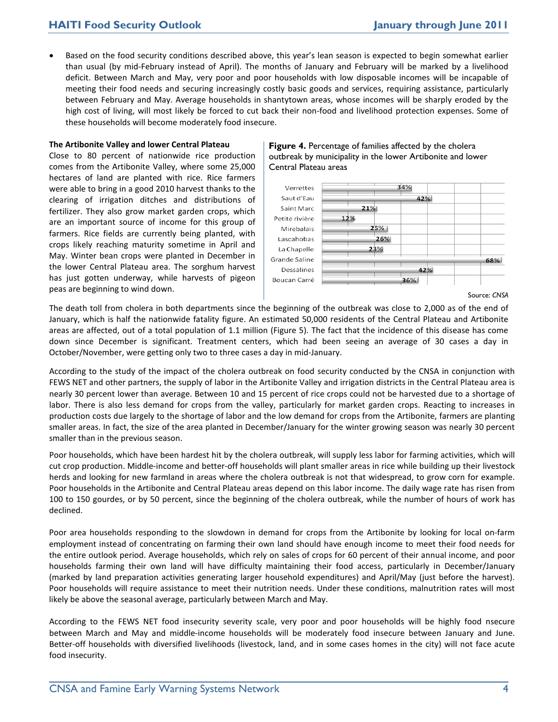# **HAITI Food Security Outlook January through June 2011**

• Based on the food security conditions described above, this year's lean season is expected to begin somewhat earlier than usual (by mid-February instead of April). The months of January and February will be marked by a livelihood deficit. Between March and May, very poor and poor households with low disposable incomes will be incapable of meeting their food needs and securing increasingly costly basic goods and services, requiring assistance, particularly between February and May. Average households in shantytown areas, whose incomes will be sharply eroded by the high cost of living, will most likely be forced to cut back their non-food and livelihood protection expenses. Some of these households will become moderately food insecure.

#### **The Artibonite Valley and lower Central Plateau**

Close to 80 percent of nationwide rice production comes from the Artibonite Valley, where some 25,000 hectares of land are planted with rice. Rice farmers were able to bring in a good 2010 harvest thanks to the clearing of irrigation ditches and distributions of fertilizer. They also grow market garden crops, which are an important source of income for this group of farmers. Rice fields are currently being planted, with crops likely reaching maturity sometime in April and May. Winter bean crops were planted in December in the lower Central Plateau area. The sorghum harvest has just gotten underway, while harvests of pigeon peas are beginning to wind down.

#### **Figure 4.** Percentage of families affected by the cholera outbreak by municipality in the lower Artibonite and lower Central Plateau areas



Source: *CNSA*

The death toll from cholera in both departments since the beginning of the outbreak was close to 2,000 as of the end of January, which is half the nationwide fatality figure. An estimated 50,000 residents of the Central Plateau and Artibonite areas are affected, out of a total population of 1.1 million (Figure 5). The fact that the incidence of this disease has come down since December is significant. Treatment centers, which had been seeing an average of 30 cases a day in October/November, were getting only two to three cases a day in mid-January.

According to the study of the impact of the cholera outbreak on food security conducted by the CNSA in conjunction with FEWS NET and other partners, the supply of labor in the Artibonite Valley and irrigation districts in the Central Plateau area is nearly 30 percent lower than average. Between 10 and 15 percent of rice crops could not be harvested due to a shortage of labor. There is also less demand for crops from the valley, particularly for market garden crops. Reacting to increases in production costs due largely to the shortage of labor and the low demand for crops from the Artibonite, farmers are planting smaller areas. In fact, the size of the area planted in December/January for the winter growing season was nearly 30 percent smaller than in the previous season.

Poor households, which have been hardest hit by the cholera outbreak, will supply less labor for farming activities, which will cut crop production. Middle-income and better-off households will plant smaller areas in rice while building up their livestock herds and looking for new farmland in areas where the cholera outbreak is not that widespread, to grow corn for example. Poor households in the Artibonite and Central Plateau areas depend on this labor income. The daily wage rate has risen from 100 to 150 gourdes, or by 50 percent, since the beginning of the cholera outbreak, while the number of hours of work has declined.

Poor area households responding to the slowdown in demand for crops from the Artibonite by looking for local on-farm employment instead of concentrating on farming their own land should have enough income to meet their food needs for the entire outlook period. Average households, which rely on sales of crops for 60 percent of their annual income, and poor households farming their own land will have difficulty maintaining their food access, particularly in December/January (marked by land preparation activities generating larger household expenditures) and April/May (just before the harvest). Poor households will require assistance to meet their nutrition needs. Under these conditions, malnutrition rates will most likely be above the seasonal average, particularly between March and May.

According to the FEWS NET food insecurity severity scale, very poor and poor households will be highly food nsecure between March and May and middle-income households will be moderately food insecure between January and June. Better-off households with diversified livelihoods (livestock, land, and in some cases homes in the city) will not face acute food insecurity.